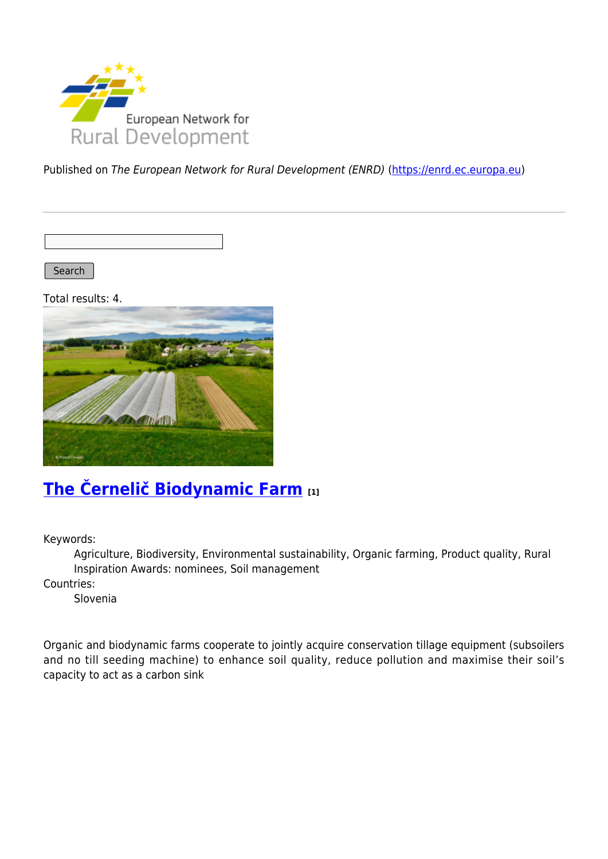

Published on The European Network for Rural Development (ENRD) [\(https://enrd.ec.europa.eu](https://enrd.ec.europa.eu))

Search

Total results: 4.



## **[The Černelič Biodynamic Farm](https://enrd.ec.europa.eu/projects-practice/cernelic-biodynamic-farm-0_en) [1]**

Keywords:

Agriculture, Biodiversity, Environmental sustainability, Organic farming, Product quality, Rural Inspiration Awards: nominees, Soil management

Countries:

Slovenia

Organic and biodynamic farms cooperate to jointly acquire conservation tillage equipment (subsoilers and no till seeding machine) to enhance soil quality, reduce pollution and maximise their soil's capacity to act as a carbon sink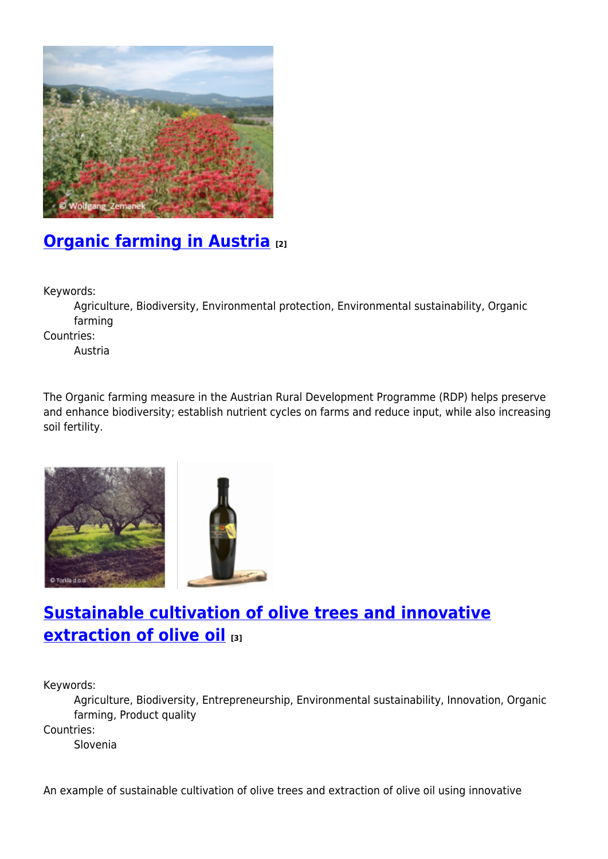

# **[Organic farming in Austria](https://enrd.ec.europa.eu/projects-practice/organic-farming-austria_en) [2]**

Keywords:

Agriculture, Biodiversity, Environmental protection, Environmental sustainability, Organic farming

Countries:

Austria

The Organic farming measure in the Austrian Rural Development Programme (RDP) helps preserve and enhance biodiversity; establish nutrient cycles on farms and reduce input, while also increasing soil fertility.





## **[Sustainable cultivation of olive trees and innovative](https://enrd.ec.europa.eu/projects-practice/sustainable-cultivation-olive-trees-and-innovative-extraction-olive-oil_en) [extraction of olive oil](https://enrd.ec.europa.eu/projects-practice/sustainable-cultivation-olive-trees-and-innovative-extraction-olive-oil_en) [3]**

Keywords:

Agriculture, Biodiversity, Entrepreneurship, Environmental sustainability, Innovation, Organic farming, Product quality

Countries:

Slovenia

An example of sustainable cultivation of olive trees and extraction of olive oil using innovative